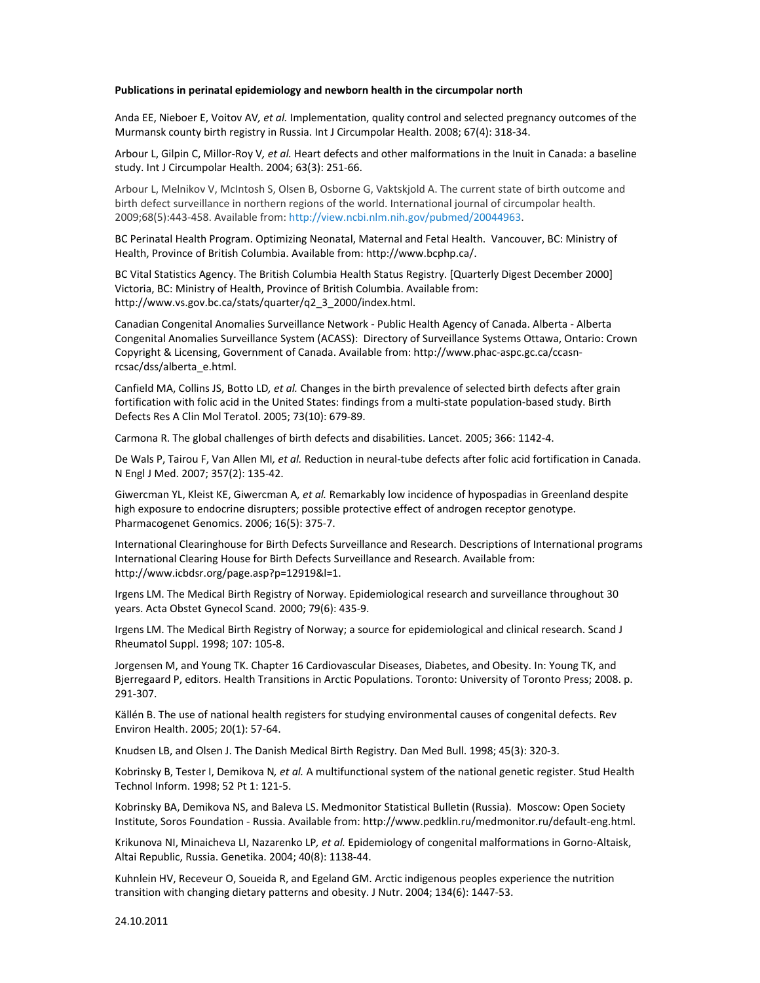## **Publications in perinatal epidemiology and newborn health in the circumpolar north**

Anda EE, Nieboer E, Voitov AV*, et al.* Implementation, quality control and selected pregnancy outcomes of the Murmansk county birth registry in Russia. Int J Circumpolar Health. 2008; 67(4): 318‐34.

Arbour L, Gilpin C, Millor‐Roy V*, et al.* Heart defects and other malformations in the Inuit in Canada: a baseline study. Int J Circumpolar Health. 2004; 63(3): 251‐66.

Arbour L, Melnikov V, McIntosh S, Olsen B, Osborne G, Vaktskjold A. The current state of birth outcome and birth defect surveillance in northern regions of the world. International journal of circumpolar health. 2009;68(5):443‐458. Available from: http://view.ncbi.nlm.nih.gov/pubmed/20044963.

BC Perinatal Health Program. Optimizing Neonatal, Maternal and Fetal Health. Vancouver, BC: Ministry of Health, Province of British Columbia. Available from: http://www.bcphp.ca/.

BC Vital Statistics Agency. The British Columbia Health Status Registry. [Quarterly Digest December 2000] Victoria, BC: Ministry of Health, Province of British Columbia. Available from: http://www.vs.gov.bc.ca/stats/quarter/q2\_3\_2000/index.html.

Canadian Congenital Anomalies Surveillance Network ‐ Public Health Agency of Canada. Alberta ‐ Alberta Congenital Anomalies Surveillance System (ACASS): Directory of Surveillance Systems Ottawa, Ontario: Crown Copyright & Licensing, Government of Canada. Available from: http://www.phac‐aspc.gc.ca/ccasn‐ rcsac/dss/alberta\_e.html.

Canfield MA, Collins JS, Botto LD*, et al.* Changes in the birth prevalence of selected birth defects after grain fortification with folic acid in the United States: findings from a multi‐state population‐based study. Birth Defects Res A Clin Mol Teratol. 2005; 73(10): 679‐89.

Carmona R. The global challenges of birth defects and disabilities. Lancet. 2005; 366: 1142‐4.

De Wals P, Tairou F, Van Allen MI*, et al.* Reduction in neural‐tube defects after folic acid fortification in Canada. N Engl J Med. 2007; 357(2): 135‐42.

Giwercman YL, Kleist KE, Giwercman A*, et al.* Remarkably low incidence of hypospadias in Greenland despite high exposure to endocrine disrupters; possible protective effect of androgen receptor genotype. Pharmacogenet Genomics. 2006; 16(5): 375‐7.

International Clearinghouse for Birth Defects Surveillance and Research. Descriptions of International programs International Clearing House for Birth Defects Surveillance and Research. Available from: http://www.icbdsr.org/page.asp?p=12919&l=1.

Irgens LM. The Medical Birth Registry of Norway. Epidemiological research and surveillance throughout 30 years. Acta Obstet Gynecol Scand. 2000; 79(6): 435‐9.

Irgens LM. The Medical Birth Registry of Norway; a source for epidemiological and clinical research. Scand J Rheumatol Suppl. 1998; 107: 105‐8.

Jorgensen M, and Young TK. Chapter 16 Cardiovascular Diseases, Diabetes, and Obesity. In: Young TK, and Bjerregaard P, editors. Health Transitions in Arctic Populations. Toronto: University of Toronto Press; 2008. p. 291‐307.

Källén B. The use of national health registers for studying environmental causes of congenital defects. Rev Environ Health. 2005; 20(1): 57‐64.

Knudsen LB, and Olsen J. The Danish Medical Birth Registry. Dan Med Bull. 1998; 45(3): 320‐3.

Kobrinsky B, Tester I, Demikova N*, et al.* A multifunctional system of the national genetic register. Stud Health Technol Inform. 1998; 52 Pt 1: 121‐5.

Kobrinsky BA, Demikova NS, and Baleva LS. Medmonitor Statistical Bulletin (Russia). Moscow: Open Society Institute, Soros Foundation ‐ Russia. Available from: http://www.pedklin.ru/medmonitor.ru/default‐eng.html.

Krikunova NI, Minaicheva LI, Nazarenko LP*, et al.* Epidemiology of congenital malformations in Gorno‐Altaisk, Altai Republic, Russia. Genetika. 2004; 40(8): 1138‐44.

Kuhnlein HV, Receveur O, Soueida R, and Egeland GM. Arctic indigenous peoples experience the nutrition transition with changing dietary patterns and obesity. J Nutr. 2004; 134(6): 1447‐53.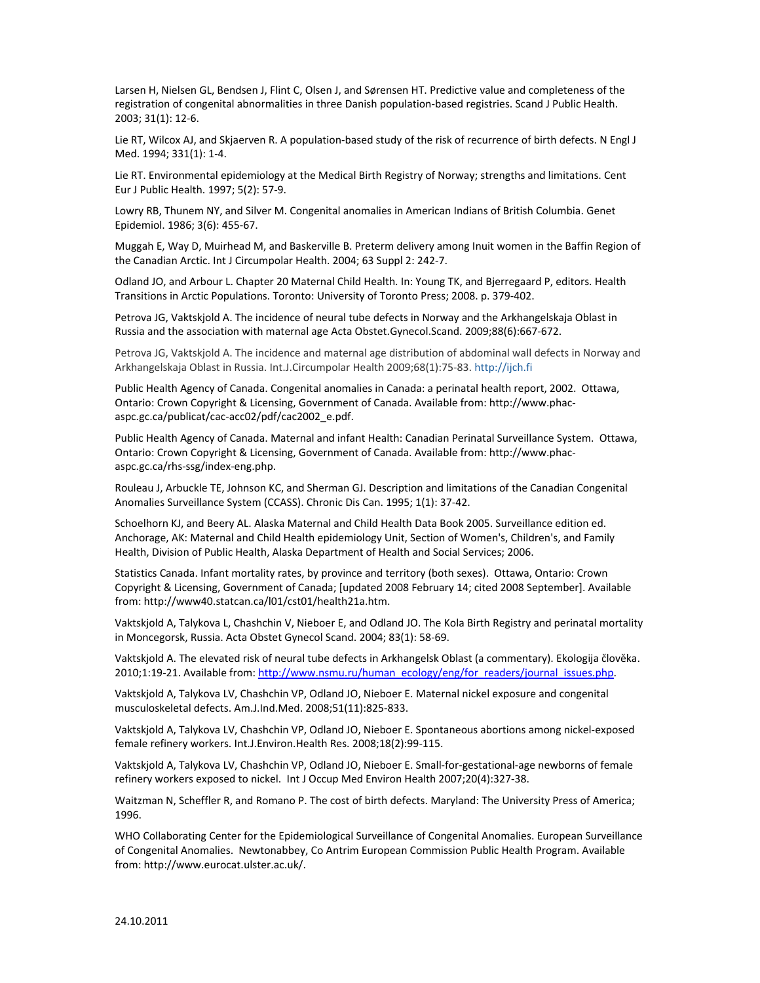Larsen H, Nielsen GL, Bendsen J, Flint C, Olsen J, and Sørensen HT. Predictive value and completeness of the registration of congenital abnormalities in three Danish population‐based registries. Scand J Public Health. 2003; 31(1): 12‐6.

Lie RT, Wilcox AJ, and Skjaerven R. A population-based study of the risk of recurrence of birth defects. N Engl J Med. 1994; 331(1): 1‐4.

Lie RT. Environmental epidemiology at the Medical Birth Registry of Norway; strengths and limitations. Cent Eur J Public Health. 1997; 5(2): 57‐9.

Lowry RB, Thunem NY, and Silver M. Congenital anomalies in American Indians of British Columbia. Genet Epidemiol. 1986; 3(6): 455‐67.

Muggah E, Way D, Muirhead M, and Baskerville B. Preterm delivery among Inuit women in the Baffin Region of the Canadian Arctic. Int J Circumpolar Health. 2004; 63 Suppl 2: 242‐7.

Odland JO, and Arbour L. Chapter 20 Maternal Child Health. In: Young TK, and Bjerregaard P, editors. Health Transitions in Arctic Populations. Toronto: University of Toronto Press; 2008. p. 379‐402.

Petrova JG, Vaktskjold A. The incidence of neural tube defects in Norway and the Arkhangelskaja Oblast in Russia and the association with maternal age Acta Obstet.Gynecol.Scand. 2009;88(6):667‐672.

Petrova JG, Vaktskjold A. The incidence and maternal age distribution of abdominal wall defects in Norway and Arkhangelskaja Oblast in Russia. Int.J.Circumpolar Health 2009;68(1):75‐83. http://ijch.fi

Public Health Agency of Canada. Congenital anomalies in Canada: a perinatal health report, 2002. Ottawa, Ontario: Crown Copyright & Licensing, Government of Canada. Available from: http://www.phac‐ aspc.gc.ca/publicat/cac‐acc02/pdf/cac2002\_e.pdf.

Public Health Agency of Canada. Maternal and infant Health: Canadian Perinatal Surveillance System. Ottawa, Ontario: Crown Copyright & Licensing, Government of Canada. Available from: http://www.phac‐ aspc.gc.ca/rhs‐ssg/index‐eng.php.

Rouleau J, Arbuckle TE, Johnson KC, and Sherman GJ. Description and limitations of the Canadian Congenital Anomalies Surveillance System (CCASS). Chronic Dis Can. 1995; 1(1): 37‐42.

Schoelhorn KJ, and Beery AL. Alaska Maternal and Child Health Data Book 2005. Surveillance edition ed. Anchorage, AK: Maternal and Child Health epidemiology Unit, Section of Women's, Children's, and Family Health, Division of Public Health, Alaska Department of Health and Social Services; 2006.

Statistics Canada. Infant mortality rates, by province and territory (both sexes). Ottawa, Ontario: Crown Copyright & Licensing, Government of Canada; [updated 2008 February 14; cited 2008 September]. Available from: http://www40.statcan.ca/l01/cst01/health21a.htm.

Vaktskjold A, Talykova L, Chashchin V, Nieboer E, and Odland JO. The Kola Birth Registry and perinatal mortality in Moncegorsk, Russia. Acta Obstet Gynecol Scand. 2004; 83(1): 58‐69.

Vaktskjold A. The elevated risk of neural tube defects in Arkhangelsk Oblast (a commentary). Ekologija člověka. 2010;1:19-21. Available from: http://www.nsmu.ru/human\_ecology/eng/for\_readers/journal\_issues.php.

Vaktskjold A, Talykova LV, Chashchin VP, Odland JO, Nieboer E. Maternal nickel exposure and congenital musculoskeletal defects. Am.J.Ind.Med. 2008;51(11):825‐833.

Vaktskjold A, Talykova LV, Chashchin VP, Odland JO, Nieboer E. Spontaneous abortions among nickel‐exposed female refinery workers. Int.J.Environ.Health Res. 2008;18(2):99‐115.

Vaktskjold A, Talykova LV, Chashchin VP, Odland JO, Nieboer E. Small‐for‐gestational‐age newborns of female refinery workers exposed to nickel. Int J Occup Med Environ Health 2007;20(4):327‐38.

Waitzman N, Scheffler R, and Romano P. The cost of birth defects. Maryland: The University Press of America; 1996.

WHO Collaborating Center for the Epidemiological Surveillance of Congenital Anomalies. European Surveillance of Congenital Anomalies. Newtonabbey, Co Antrim European Commission Public Health Program. Available from: http://www.eurocat.ulster.ac.uk/.